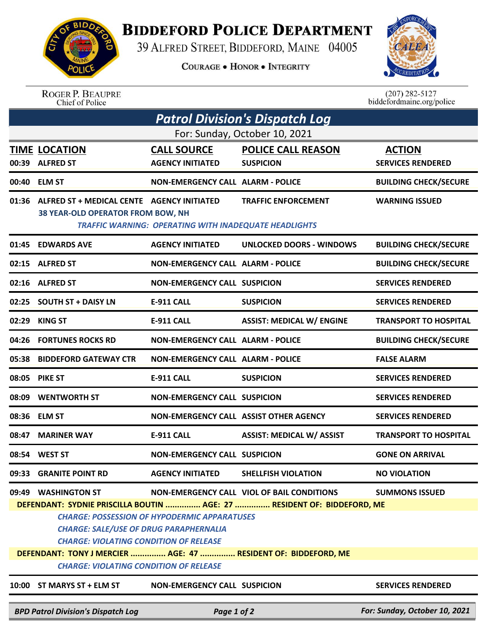## **BIDDEFORD POLICE DEPARTMENT**

39 ALFRED STREET, BIDDEFORD, MAINE 04005

**COURAGE . HONOR . INTEGRITY** 



ROGER P. BEAUPRE<br>Chief of Police

 $(207)$  282-5127<br>biddefordmaine.org/police

| <b>Patrol Division's Dispatch Log</b> |                                                                                                                                |                                                              |                                                                |                               |  |  |  |  |
|---------------------------------------|--------------------------------------------------------------------------------------------------------------------------------|--------------------------------------------------------------|----------------------------------------------------------------|-------------------------------|--|--|--|--|
| For: Sunday, October 10, 2021         |                                                                                                                                |                                                              |                                                                |                               |  |  |  |  |
|                                       | <b>TIME LOCATION</b>                                                                                                           | <b>CALL SOURCE</b>                                           | <b>POLICE CALL REASON</b>                                      | <b>ACTION</b>                 |  |  |  |  |
| 00:39                                 | <b>ALFRED ST</b>                                                                                                               | <b>AGENCY INITIATED</b>                                      | <b>SUSPICION</b>                                               | <b>SERVICES RENDERED</b>      |  |  |  |  |
|                                       | 00:40 ELM ST                                                                                                                   | <b>NON-EMERGENCY CALL ALARM - POLICE</b>                     |                                                                | <b>BUILDING CHECK/SECURE</b>  |  |  |  |  |
| 01:36                                 | ALFRED ST + MEDICAL CENTE AGENCY INITIATED<br><b>38 YEAR-OLD OPERATOR FROM BOW, NH</b>                                         | <b>TRAFFIC WARNING: OPERATING WITH INADEQUATE HEADLIGHTS</b> | <b>TRAFFIC ENFORCEMENT</b>                                     | <b>WARNING ISSUED</b>         |  |  |  |  |
|                                       | 01:45 EDWARDS AVE                                                                                                              | <b>AGENCY INITIATED</b>                                      | <b>UNLOCKED DOORS - WINDOWS</b>                                | <b>BUILDING CHECK/SECURE</b>  |  |  |  |  |
|                                       | 02:15 ALFRED ST                                                                                                                | <b>NON-EMERGENCY CALL ALARM - POLICE</b>                     |                                                                | <b>BUILDING CHECK/SECURE</b>  |  |  |  |  |
|                                       | 02:16 ALFRED ST                                                                                                                | <b>NON-EMERGENCY CALL SUSPICION</b>                          |                                                                | <b>SERVICES RENDERED</b>      |  |  |  |  |
|                                       | 02:25 SOUTH ST + DAISY LN                                                                                                      | <b>E-911 CALL</b>                                            | <b>SUSPICION</b>                                               | <b>SERVICES RENDERED</b>      |  |  |  |  |
| 02:29                                 | <b>KING ST</b>                                                                                                                 | E-911 CALL                                                   | <b>ASSIST: MEDICAL W/ ENGINE</b>                               | <b>TRANSPORT TO HOSPITAL</b>  |  |  |  |  |
|                                       | 04:26 FORTUNES ROCKS RD                                                                                                        | <b>NON-EMERGENCY CALL ALARM - POLICE</b>                     |                                                                | <b>BUILDING CHECK/SECURE</b>  |  |  |  |  |
| 05:38                                 | <b>BIDDEFORD GATEWAY CTR</b>                                                                                                   | <b>NON-EMERGENCY CALL ALARM - POLICE</b>                     |                                                                | <b>FALSE ALARM</b>            |  |  |  |  |
|                                       | 08:05 PIKE ST                                                                                                                  | <b>E-911 CALL</b>                                            | <b>SUSPICION</b>                                               | <b>SERVICES RENDERED</b>      |  |  |  |  |
| 08:09                                 | <b>WENTWORTH ST</b>                                                                                                            | <b>NON-EMERGENCY CALL SUSPICION</b>                          |                                                                | <b>SERVICES RENDERED</b>      |  |  |  |  |
|                                       | 08:36 ELM ST                                                                                                                   | NON-EMERGENCY CALL ASSIST OTHER AGENCY                       |                                                                | <b>SERVICES RENDERED</b>      |  |  |  |  |
| 08:47                                 | <b>MARINER WAY</b>                                                                                                             | E-911 CALL                                                   | <b>ASSIST: MEDICAL W/ ASSIST</b>                               | <b>TRANSPORT TO HOSPITAL</b>  |  |  |  |  |
| 08:54                                 | <b>WEST ST</b>                                                                                                                 | <b>NON-EMERGENCY CALL SUSPICION</b>                          |                                                                | <b>GONE ON ARRIVAL</b>        |  |  |  |  |
|                                       | 09:33 GRANITE POINT RD                                                                                                         | <b>AGENCY INITIATED</b>                                      | <b>SHELLFISH VIOLATION</b>                                     | <b>NO VIOLATION</b>           |  |  |  |  |
|                                       | 09:49 WASHINGTON ST                                                                                                            |                                                              | NON-EMERGENCY CALL VIOL OF BAIL CONDITIONS                     | <b>SUMMONS ISSUED</b>         |  |  |  |  |
|                                       | DEFENDANT: SYDNIE PRISCILLA BOUTIN  AGE: 27  RESIDENT OF: BIDDEFORD, ME<br><b>CHARGE: POSSESSION OF HYPODERMIC APPARATUSES</b> |                                                              |                                                                |                               |  |  |  |  |
|                                       | <b>CHARGE: SALE/USE OF DRUG PARAPHERNALIA</b>                                                                                  |                                                              |                                                                |                               |  |  |  |  |
|                                       | <b>CHARGE: VIOLATING CONDITION OF RELEASE</b>                                                                                  |                                                              |                                                                |                               |  |  |  |  |
|                                       |                                                                                                                                |                                                              | DEFENDANT: TONY J MERCIER  AGE: 47  RESIDENT OF: BIDDEFORD, ME |                               |  |  |  |  |
|                                       | <b>CHARGE: VIOLATING CONDITION OF RELEASE</b>                                                                                  |                                                              |                                                                |                               |  |  |  |  |
|                                       | 10:00 ST MARYS ST + ELM ST                                                                                                     | <b>NON-EMERGENCY CALL SUSPICION</b>                          |                                                                | <b>SERVICES RENDERED</b>      |  |  |  |  |
|                                       | <b>BPD Patrol Division's Dispatch Log</b>                                                                                      | Page 1 of 2                                                  |                                                                | For: Sunday, October 10, 2021 |  |  |  |  |